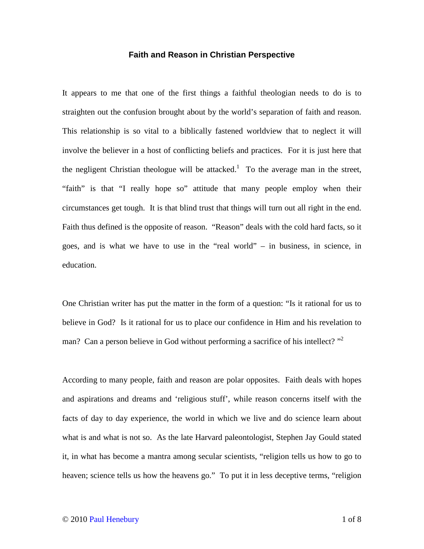## **Faith and Reason in Christian Perspective**

It appears to me that one of the first things a faithful theologian needs to do is to straighten out the confusion brought about by the world's separation of faith and reason. This relationship is so vital to a biblically fastened worldview that to neglect it will involve the believer in a host of conflicting beliefs and practices. For it is just here that the negligent Christian theologue will be attacked.<sup>1</sup> To the average man in the street, "faith" is that "I really hope so" attitude that many people employ when their circumstances get tough. It is that blind trust that things will turn out all right in the end. Faith thus defined is the opposite of reason. "Reason" deals with the cold hard facts, so it goes, and is what we have to use in the "real world" – in business, in science, in education.

One Christian writer has put the matter in the form of a question: "Is it rational for us to believe in God? Is it rational for us to place our confidence in Him and his revelation to man? Can a person believe in God without performing a sacrifice of his intellect?  $"^2$ 

According to many people, faith and reason are polar opposites. Faith deals with hopes and aspirations and dreams and 'religious stuff', while reason concerns itself with the facts of day to day experience, the world in which we live and do science learn about what is and what is not so. As the late Harvard paleontologist, Stephen Jay Gould stated it, in what has become a mantra among secular scientists, "religion tells us how to go to heaven; science tells us how the heavens go." To put it in less deceptive terms, "religion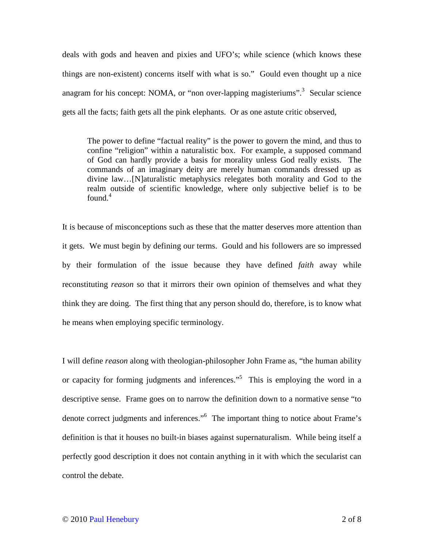deals with gods and heaven and pixies and UFO's; while science (which knows these things are non-existent) concerns itself with what is so." Gould even thought up a nice anagram for his concept: NOMA, or "non over-lapping magisteriums".<sup>3</sup> Secular science gets all the facts; faith gets all the pink elephants. Or as one astute critic observed,

The power to define "factual reality" is the power to govern the mind, and thus to confine "religion" within a naturalistic box. For example, a supposed command of God can hardly provide a basis for morality unless God really exists. The commands of an imaginary deity are merely human commands dressed up as divine law…[N]aturalistic metaphysics relegates both morality and God to the realm outside of scientific knowledge, where only subjective belief is to be found. $4$ 

It is because of misconceptions such as these that the matter deserves more attention than it gets. We must begin by defining our terms. Gould and his followers are so impressed by their formulation of the issue because they have defined *faith* away while reconstituting *reason* so that it mirrors their own opinion of themselves and what they think they are doing. The first thing that any person should do, therefore, is to know what he means when employing specific terminology.

I will define *reason* along with theologian-philosopher John Frame as, "the human ability or capacity for forming judgments and inferences."<sup>5</sup> This is employing the word in a descriptive sense. Frame goes on to narrow the definition down to a normative sense "to denote correct judgments and inferences."<sup>6</sup> The important thing to notice about Frame's definition is that it houses no built-in biases against supernaturalism. While being itself a perfectly good description it does not contain anything in it with which the secularist can control the debate.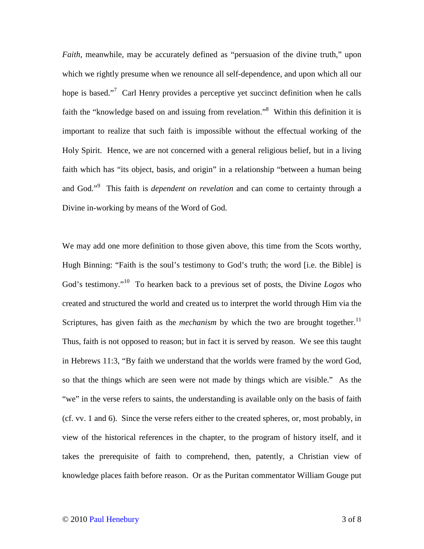*Faith*, meanwhile, may be accurately defined as "persuasion of the divine truth," upon which we rightly presume when we renounce all self-dependence, and upon which all our hope is based."<sup>7</sup> Carl Henry provides a perceptive yet succinct definition when he calls faith the "knowledge based on and issuing from revelation."<sup>8</sup> Within this definition it is important to realize that such faith is impossible without the effectual working of the Holy Spirit. Hence, we are not concerned with a general religious belief, but in a living faith which has "its object, basis, and origin" in a relationship "between a human being and God."<sup>9</sup> This faith is *dependent on revelation* and can come to certainty through a Divine in-working by means of the Word of God.

We may add one more definition to those given above, this time from the Scots worthy, Hugh Binning: "Faith is the soul's testimony to God's truth; the word [i.e. the Bible] is God's testimony."<sup>10</sup> To hearken back to a previous set of posts, the Divine *Logos* who created and structured the world and created us to interpret the world through Him via the Scriptures, has given faith as the *mechanism* by which the two are brought together.<sup>11</sup> Thus, faith is not opposed to reason; but in fact it is served by reason. We see this taught in Hebrews 11:3, "By faith we understand that the worlds were framed by the word God, so that the things which are seen were not made by things which are visible." As the "we" in the verse refers to saints, the understanding is available only on the basis of faith (cf. vv. 1 and 6). Since the verse refers either to the created spheres, or, most probably, in view of the historical references in the chapter, to the program of history itself, and it takes the prerequisite of faith to comprehend, then, patently, a Christian view of knowledge places faith before reason. Or as the Puritan commentator William Gouge put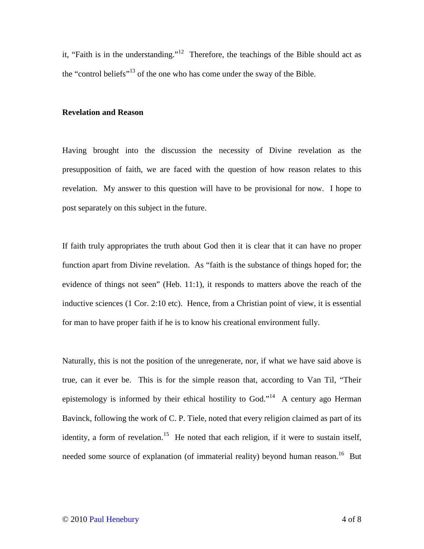it, "Faith is in the understanding."<sup>12</sup> Therefore, the teachings of the Bible should act as the "control beliefs"<sup>13</sup> of the one who has come under the sway of the Bible.

## **Revelation and Reason**

Having brought into the discussion the necessity of Divine revelation as the presupposition of faith, we are faced with the question of how reason relates to this revelation. My answer to this question will have to be provisional for now. I hope to post separately on this subject in the future.

If faith truly appropriates the truth about God then it is clear that it can have no proper function apart from Divine revelation. As "faith is the substance of things hoped for; the evidence of things not seen" (Heb. 11:1), it responds to matters above the reach of the inductive sciences (1 Cor. 2:10 etc). Hence, from a Christian point of view, it is essential for man to have proper faith if he is to know his creational environment fully.

Naturally, this is not the position of the unregenerate, nor, if what we have said above is true, can it ever be. This is for the simple reason that, according to Van Til, "Their epistemology is informed by their ethical hostility to God."<sup>14</sup> A century ago Herman Bavinck, following the work of C. P. Tiele, noted that every religion claimed as part of its identity, a form of revelation.<sup>15</sup> He noted that each religion, if it were to sustain itself, needed some source of explanation (of immaterial reality) beyond human reason.<sup>16</sup> But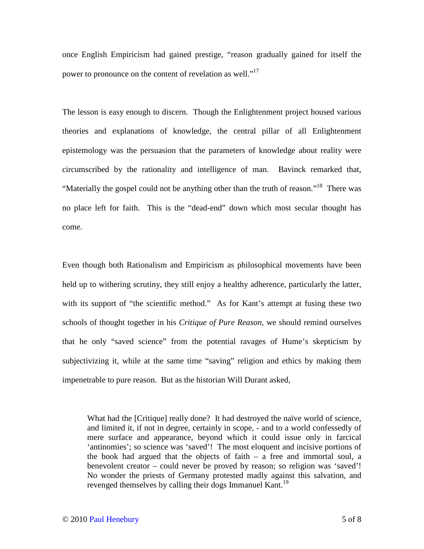once English Empiricism had gained prestige, "reason gradually gained for itself the power to pronounce on the content of revelation as well."<sup>17</sup>

The lesson is easy enough to discern. Though the Enlightenment project housed various theories and explanations of knowledge, the central pillar of all Enlightenment epistemology was the persuasion that the parameters of knowledge about reality were circumscribed by the rationality and intelligence of man. Bavinck remarked that, "Materially the gospel could not be anything other than the truth of reason."<sup>18</sup> There was no place left for faith. This is the "dead-end" down which most secular thought has come.

Even though both Rationalism and Empiricism as philosophical movements have been held up to withering scrutiny, they still enjoy a healthy adherence, particularly the latter, with its support of "the scientific method." As for Kant's attempt at fusing these two schools of thought together in his *Critique of Pure Reason,* we should remind ourselves that he only "saved science" from the potential ravages of Hume's skepticism by subjectivizing it, while at the same time "saving" religion and ethics by making them impenetrable to pure reason. But as the historian Will Durant asked,

What had the [Critique] really done? It had destroyed the naïve world of science, and limited it, if not in degree, certainly in scope, - and to a world confessedly of mere surface and appearance, beyond which it could issue only in farcical 'antinomies'; so science was 'saved'! The most eloquent and incisive portions of the book had argued that the objects of faith – a free and immortal soul, a benevolent creator – could never be proved by reason; so religion was 'saved'! No wonder the priests of Germany protested madly against this salvation, and revenged themselves by calling their dogs Immanuel Kant.<sup>19</sup>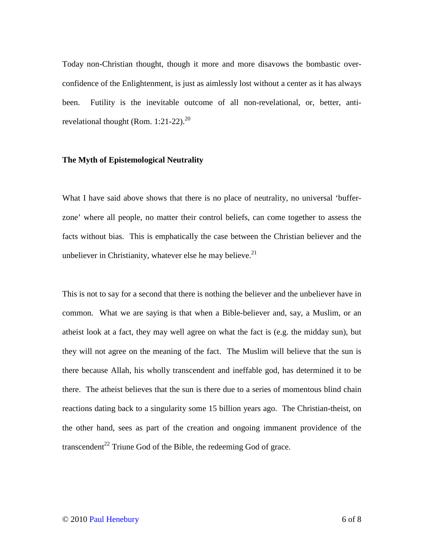Today non-Christian thought, though it more and more disavows the bombastic overconfidence of the Enlightenment, is just as aimlessly lost without a center as it has always been. Futility is the inevitable outcome of all non-revelational, or, better, antirevelational thought (Rom.  $1:21-22$ ).<sup>20</sup>

## **The Myth of Epistemological Neutrality**

What I have said above shows that there is no place of neutrality, no universal 'bufferzone' where all people, no matter their control beliefs, can come together to assess the facts without bias. This is emphatically the case between the Christian believer and the unbeliever in Christianity, whatever else he may believe. $21$ 

This is not to say for a second that there is nothing the believer and the unbeliever have in common. What we are saying is that when a Bible-believer and, say, a Muslim, or an atheist look at a fact, they may well agree on what the fact is (e.g. the midday sun), but they will not agree on the meaning of the fact. The Muslim will believe that the sun is there because Allah, his wholly transcendent and ineffable god, has determined it to be there. The atheist believes that the sun is there due to a series of momentous blind chain reactions dating back to a singularity some 15 billion years ago. The Christian-theist, on the other hand, sees as part of the creation and ongoing immanent providence of the transcendent<sup>22</sup> Triune God of the Bible, the redeeming God of grace.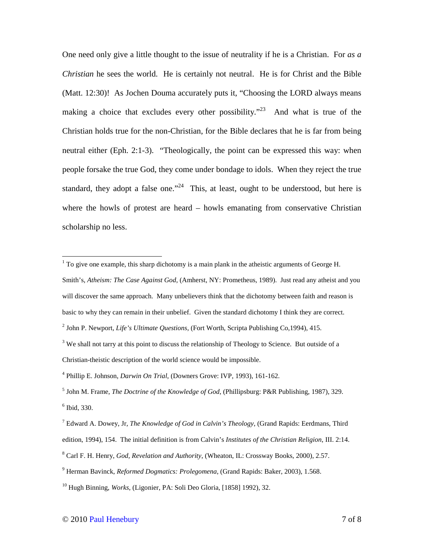One need only give a little thought to the issue of neutrality if he is a Christian. For *as a Christian* he sees the world. He is certainly not neutral. He is for Christ and the Bible (Matt. 12:30)! As Jochen Douma accurately puts it, "Choosing the LORD always means making a choice that excludes every other possibility."<sup>23</sup> And what is true of the Christian holds true for the non-Christian, for the Bible declares that he is far from being neutral either (Eph. 2:1-3). "Theologically, the point can be expressed this way: when people forsake the true God, they come under bondage to idols. When they reject the true standard, they adopt a false one."<sup>24</sup> This, at least, ought to be understood, but here is where the howls of protest are heard – howls emanating from conservative Christian scholarship no less.

To give one example, this sharp dichotomy is a main plank in the atheistic arguments of George H. Smith's, *Atheism: The Case Against God*, (Amherst, NY: Prometheus, 1989). Just read any atheist and you will discover the same approach. Many unbelievers think that the dichotomy between faith and reason is basic to why they can remain in their unbelief. Given the standard dichotomy I think they are correct.

<sup>2</sup> John P. Newport, *Life's Ultimate Questions*, (Fort Worth, Scripta Publishing Co,1994), 415.

<sup>&</sup>lt;sup>3</sup> We shall not tarry at this point to discuss the relationship of Theology to Science. But outside of a Christian-theistic description of the world science would be impossible.

<sup>4</sup> Phillip E. Johnson, *Darwin On Trial*, (Downers Grove: IVP, 1993), 161-162.

<sup>5</sup> John M. Frame, *The Doctrine of the Knowledge of God*, (Phillipsburg: P&R Publishing, 1987), 329. 6 Ibid, 330.

<sup>7</sup> Edward A. Dowey, Jr, *The Knowledge of God in Calvin's Theology*, (Grand Rapids: Eerdmans, Third edition, 1994), 154. The initial definition is from Calvin's *Institutes of the Christian Religion*, III. 2:14.

<sup>8</sup> Carl F. H. Henry, *God, Revelation and Authority*, (Wheaton, IL: Crossway Books, 2000), 2.57.

<sup>9</sup> Herman Bavinck, *Reformed Dogmatics: Prolegomena*, (Grand Rapids: Baker, 2003), 1.568.

<sup>10</sup> Hugh Binning, *Works*, (Ligonier, PA: Soli Deo Gloria, [1858] 1992), 32.